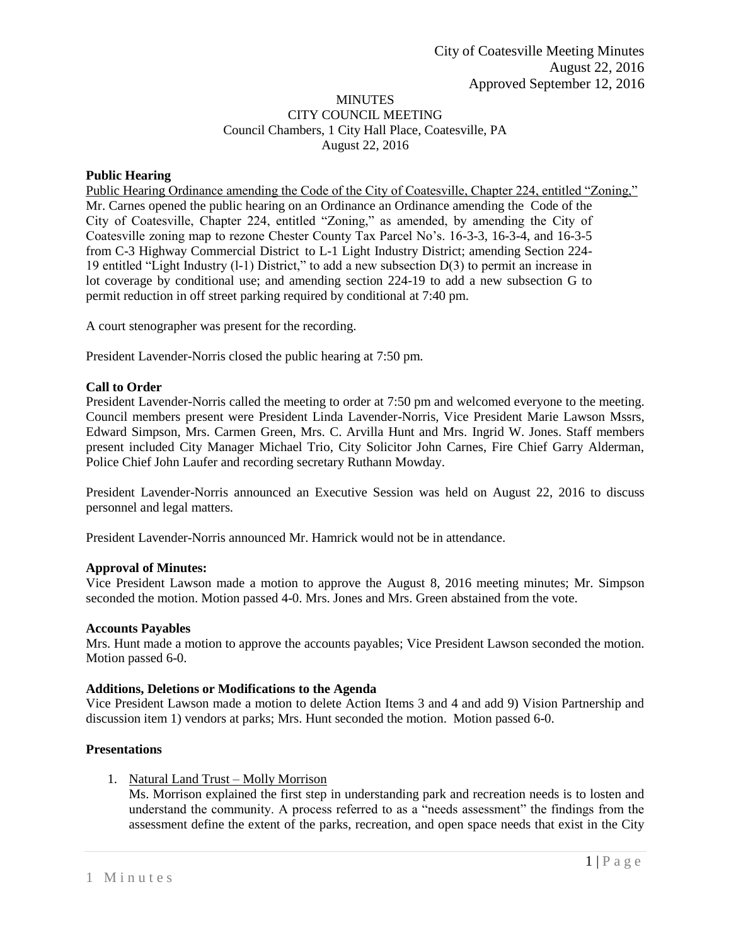# MINUTES CITY COUNCIL MEETING Council Chambers, 1 City Hall Place, Coatesville, PA August 22, 2016

# **Public Hearing**

Public Hearing Ordinance amending the Code of the City of Coatesville, Chapter 224, entitled "Zoning," Mr. Carnes opened the public hearing on an Ordinance an Ordinance amending the Code of the City of Coatesville, Chapter 224, entitled "Zoning," as amended, by amending the City of Coatesville zoning map to rezone Chester County Tax Parcel No's. 16-3-3, 16-3-4, and 16-3-5 from C-3 Highway Commercial District to L-1 Light Industry District; amending Section 224- 19 entitled "Light Industry (l-1) District," to add a new subsection D(3) to permit an increase in lot coverage by conditional use; and amending section 224-19 to add a new subsection G to permit reduction in off street parking required by conditional at 7:40 pm.

A court stenographer was present for the recording.

President Lavender-Norris closed the public hearing at 7:50 pm.

# **Call to Order**

President Lavender-Norris called the meeting to order at 7:50 pm and welcomed everyone to the meeting. Council members present were President Linda Lavender-Norris, Vice President Marie Lawson Mssrs, Edward Simpson, Mrs. Carmen Green, Mrs. C. Arvilla Hunt and Mrs. Ingrid W. Jones. Staff members present included City Manager Michael Trio, City Solicitor John Carnes, Fire Chief Garry Alderman, Police Chief John Laufer and recording secretary Ruthann Mowday.

President Lavender-Norris announced an Executive Session was held on August 22, 2016 to discuss personnel and legal matters.

President Lavender-Norris announced Mr. Hamrick would not be in attendance.

# **Approval of Minutes:**

Vice President Lawson made a motion to approve the August 8, 2016 meeting minutes; Mr. Simpson seconded the motion. Motion passed 4-0. Mrs. Jones and Mrs. Green abstained from the vote.

## **Accounts Payables**

Mrs. Hunt made a motion to approve the accounts payables; Vice President Lawson seconded the motion. Motion passed 6-0.

## **Additions, Deletions or Modifications to the Agenda**

Vice President Lawson made a motion to delete Action Items 3 and 4 and add 9) Vision Partnership and discussion item 1) vendors at parks; Mrs. Hunt seconded the motion. Motion passed 6-0.

# **Presentations**

1. Natural Land Trust – Molly Morrison

Ms. Morrison explained the first step in understanding park and recreation needs is to losten and understand the community. A process referred to as a "needs assessment" the findings from the assessment define the extent of the parks, recreation, and open space needs that exist in the City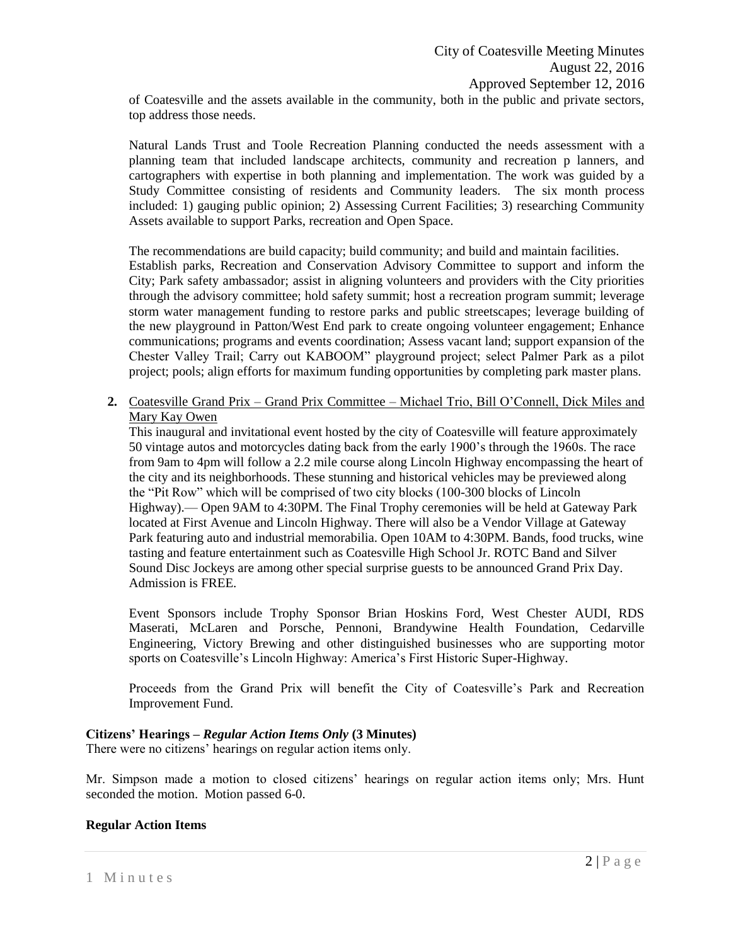of Coatesville and the assets available in the community, both in the public and private sectors, top address those needs.

Natural Lands Trust and Toole Recreation Planning conducted the needs assessment with a planning team that included landscape architects, community and recreation p lanners, and cartographers with expertise in both planning and implementation. The work was guided by a Study Committee consisting of residents and Community leaders. The six month process included: 1) gauging public opinion; 2) Assessing Current Facilities; 3) researching Community Assets available to support Parks, recreation and Open Space.

The recommendations are build capacity; build community; and build and maintain facilities. Establish parks, Recreation and Conservation Advisory Committee to support and inform the City; Park safety ambassador; assist in aligning volunteers and providers with the City priorities through the advisory committee; hold safety summit; host a recreation program summit; leverage storm water management funding to restore parks and public streetscapes; leverage building of the new playground in Patton/West End park to create ongoing volunteer engagement; Enhance communications; programs and events coordination; Assess vacant land; support expansion of the Chester Valley Trail; Carry out KABOOM" playground project; select Palmer Park as a pilot project; pools; align efforts for maximum funding opportunities by completing park master plans.

**2.** Coatesville Grand Prix – Grand Prix Committee – Michael Trio, Bill O'Connell, Dick Miles and Mary Kay Owen

This inaugural and invitational event hosted by the city of Coatesville will feature approximately 50 vintage autos and motorcycles dating back from the early 1900's through the 1960s. The race from 9am to 4pm will follow a 2.2 mile course along Lincoln Highway encompassing the heart of the city and its neighborhoods. These stunning and historical vehicles may be previewed along the "Pit Row" which will be comprised of two city blocks (100-300 blocks of Lincoln Highway).— Open 9AM to 4:30PM. The Final Trophy ceremonies will be held at Gateway Park located at First Avenue and Lincoln Highway. There will also be a Vendor Village at Gateway Park featuring auto and industrial memorabilia. Open 10AM to 4:30PM. Bands, food trucks, wine tasting and feature entertainment such as Coatesville High School Jr. ROTC Band and Silver Sound Disc Jockeys are among other special surprise guests to be announced Grand Prix Day. Admission is FREE.

Event Sponsors include Trophy Sponsor Brian Hoskins Ford, West Chester AUDI, RDS Maserati, McLaren and Porsche, Pennoni, Brandywine Health Foundation, Cedarville Engineering, Victory Brewing and other distinguished businesses who are supporting motor sports on Coatesville's Lincoln Highway: America's First Historic Super-Highway.

Proceeds from the Grand Prix will benefit the City of Coatesville's Park and Recreation Improvement Fund.

# **Citizens' Hearings –** *Regular Action Items Only* **(3 Minutes)**

There were no citizens' hearings on regular action items only.

Mr. Simpson made a motion to closed citizens' hearings on regular action items only; Mrs. Hunt seconded the motion. Motion passed 6-0.

## **Regular Action Items**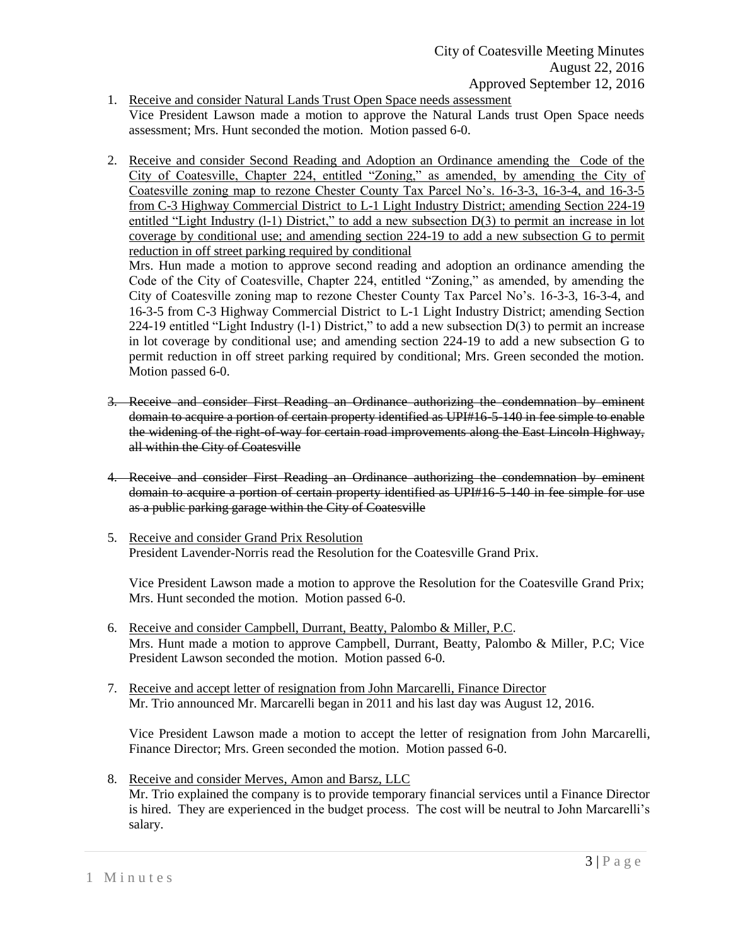- 1. Receive and consider Natural Lands Trust Open Space needs assessment Vice President Lawson made a motion to approve the Natural Lands trust Open Space needs assessment; Mrs. Hunt seconded the motion. Motion passed 6-0.
- 2. Receive and consider Second Reading and Adoption an Ordinance amending the Code of the City of Coatesville, Chapter 224, entitled "Zoning," as amended, by amending the City of Coatesville zoning map to rezone Chester County Tax Parcel No's. 16-3-3, 16-3-4, and 16-3-5 from C-3 Highway Commercial District to L-1 Light Industry District; amending Section 224-19 entitled "Light Industry (l-1) District," to add a new subsection D(3) to permit an increase in lot coverage by conditional use; and amending section 224-19 to add a new subsection G to permit reduction in off street parking required by conditional

Mrs. Hun made a motion to approve second reading and adoption an ordinance amending the Code of the City of Coatesville, Chapter 224, entitled "Zoning," as amended, by amending the City of Coatesville zoning map to rezone Chester County Tax Parcel No's. 16-3-3, 16-3-4, and 16-3-5 from C-3 Highway Commercial District to L-1 Light Industry District; amending Section 224-19 entitled "Light Industry (l-1) District," to add a new subsection D(3) to permit an increase in lot coverage by conditional use; and amending section 224-19 to add a new subsection G to permit reduction in off street parking required by conditional; Mrs. Green seconded the motion. Motion passed 6-0.

- 3. Receive and consider First Reading an Ordinance authorizing the condemnation by eminent domain to acquire a portion of certain property identified as UPI#16-5-140 in fee simple to enable the widening of the right-of-way for certain road improvements along the East Lincoln Highway, all within the City of Coatesville
- 4. Receive and consider First Reading an Ordinance authorizing the condemnation by eminent domain to acquire a portion of certain property identified as UPI#16-5-140 in fee simple for use as a public parking garage within the City of Coatesville
- 5. Receive and consider Grand Prix Resolution President Lavender-Norris read the Resolution for the Coatesville Grand Prix.

Vice President Lawson made a motion to approve the Resolution for the Coatesville Grand Prix; Mrs. Hunt seconded the motion. Motion passed 6-0.

- 6. Receive and consider Campbell, Durrant, Beatty, Palombo & Miller, P.C. Mrs. Hunt made a motion to approve Campbell, Durrant, Beatty, Palombo & Miller, P.C; Vice President Lawson seconded the motion. Motion passed 6-0.
- 7. Receive and accept letter of resignation from John Marcarelli, Finance Director Mr. Trio announced Mr. Marcarelli began in 2011 and his last day was August 12, 2016.

Vice President Lawson made a motion to accept the letter of resignation from John Marcarelli, Finance Director; Mrs. Green seconded the motion. Motion passed 6-0.

8. Receive and consider Merves, Amon and Barsz, LLC Mr. Trio explained the company is to provide temporary financial services until a Finance Director is hired. They are experienced in the budget process. The cost will be neutral to John Marcarelli's salary.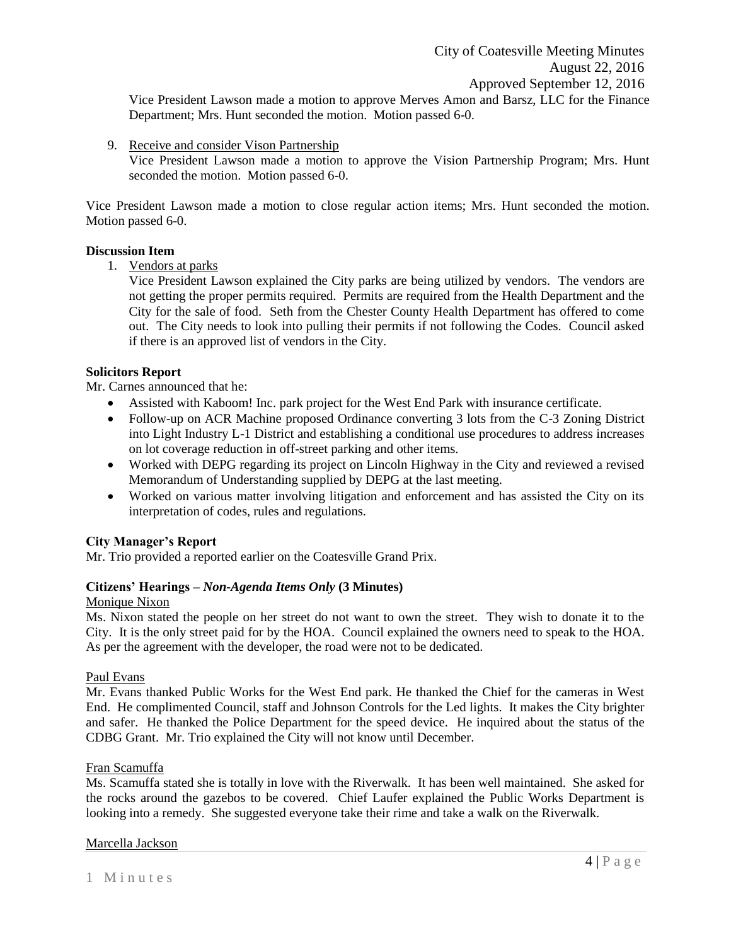Vice President Lawson made a motion to approve Merves Amon and Barsz, LLC for the Finance Department; Mrs. Hunt seconded the motion. Motion passed 6-0.

9. Receive and consider Vison Partnership

Vice President Lawson made a motion to approve the Vision Partnership Program; Mrs. Hunt seconded the motion. Motion passed 6-0.

Vice President Lawson made a motion to close regular action items; Mrs. Hunt seconded the motion. Motion passed 6-0.

## **Discussion Item**

1. Vendors at parks

Vice President Lawson explained the City parks are being utilized by vendors. The vendors are not getting the proper permits required. Permits are required from the Health Department and the City for the sale of food. Seth from the Chester County Health Department has offered to come out. The City needs to look into pulling their permits if not following the Codes. Council asked if there is an approved list of vendors in the City.

## **Solicitors Report**

Mr. Carnes announced that he:

- Assisted with Kaboom! Inc. park project for the West End Park with insurance certificate.
- Follow-up on ACR Machine proposed Ordinance converting 3 lots from the C-3 Zoning District into Light Industry L-1 District and establishing a conditional use procedures to address increases on lot coverage reduction in off-street parking and other items.
- Worked with DEPG regarding its project on Lincoln Highway in the City and reviewed a revised Memorandum of Understanding supplied by DEPG at the last meeting.
- Worked on various matter involving litigation and enforcement and has assisted the City on its interpretation of codes, rules and regulations.

# **City Manager's Report**

Mr. Trio provided a reported earlier on the Coatesville Grand Prix.

# **Citizens' Hearings –** *Non-Agenda Items Only* **(3 Minutes)**

## Monique Nixon

Ms. Nixon stated the people on her street do not want to own the street. They wish to donate it to the City. It is the only street paid for by the HOA. Council explained the owners need to speak to the HOA. As per the agreement with the developer, the road were not to be dedicated.

## Paul Evans

Mr. Evans thanked Public Works for the West End park. He thanked the Chief for the cameras in West End. He complimented Council, staff and Johnson Controls for the Led lights. It makes the City brighter and safer. He thanked the Police Department for the speed device. He inquired about the status of the CDBG Grant. Mr. Trio explained the City will not know until December.

# Fran Scamuffa

Ms. Scamuffa stated she is totally in love with the Riverwalk. It has been well maintained. She asked for the rocks around the gazebos to be covered. Chief Laufer explained the Public Works Department is looking into a remedy. She suggested everyone take their rime and take a walk on the Riverwalk.

## Marcella Jackson